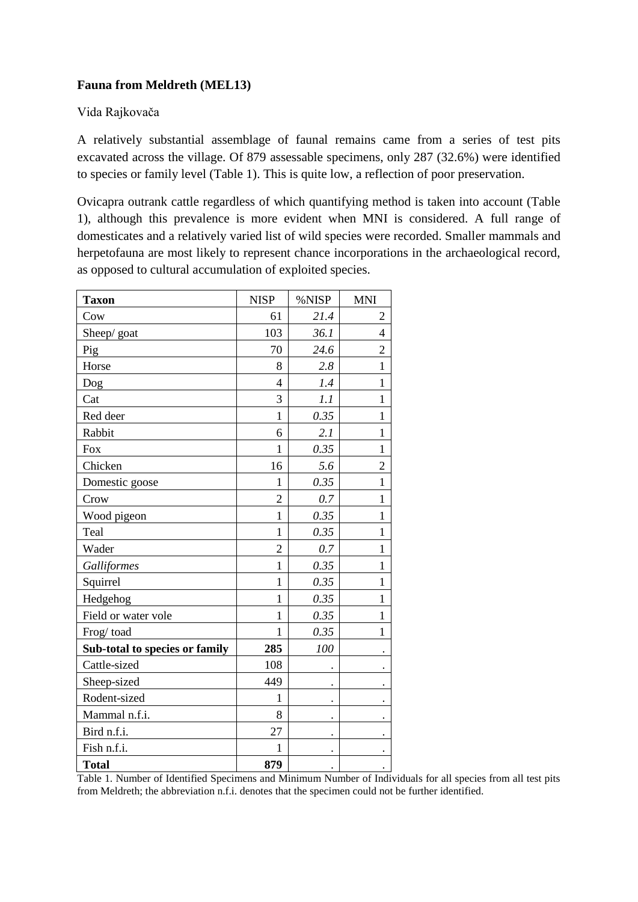# **Fauna from Meldreth (MEL13)**

# Vida Rajkovača

A relatively substantial assemblage of faunal remains came from a series of test pits excavated across the village. Of 879 assessable specimens, only 287 (32.6%) were identified to species or family level (Table 1). This is quite low, a reflection of poor preservation.

Ovicapra outrank cattle regardless of which quantifying method is taken into account (Table 1), although this prevalence is more evident when MNI is considered. A full range of domesticates and a relatively varied list of wild species were recorded. Smaller mammals and herpetofauna are most likely to represent chance incorporations in the archaeological record, as opposed to cultural accumulation of exploited species.

| <b>Taxon</b>                   | <b>NISP</b>    | %NISP                | <b>MNI</b>           |
|--------------------------------|----------------|----------------------|----------------------|
| Cow                            | 61             | 21.4                 | 2                    |
| Sheep/goat                     | 103            | 36.1                 | $\overline{4}$       |
| Pig                            | 70             | 24.6                 | $\overline{2}$       |
| Horse                          | 8              | 2.8                  | $\mathbf{1}$         |
| Dog                            | $\overline{4}$ | 1.4                  | $\mathbf{1}$         |
| Cat                            | 3              | 1.1                  | $\mathbf{1}$         |
| Red deer                       | $\mathbf{1}$   | 0.35                 | $\mathbf{1}$         |
| Rabbit                         | 6              | 2.1                  | $\mathbf{1}$         |
| Fox                            | $\mathbf{1}$   | 0.35                 | $\mathbf{1}$         |
| Chicken                        | 16             | 5.6                  | $\overline{c}$       |
| Domestic goose                 | $\mathbf{1}$   | 0.35                 | $\mathbf{1}$         |
| Crow                           | $\overline{2}$ | 0.7                  | $\mathbf{1}$         |
| Wood pigeon                    | $\mathbf{1}$   | 0.35                 | $\mathbf{1}$         |
| Teal                           | $\mathbf{1}$   | 0.35                 | $\mathbf{1}$         |
| Wader                          | $\overline{2}$ | 0.7                  | $\mathbf{1}$         |
| Galliformes                    | $\mathbf{1}$   | 0.35                 | $\mathbf{1}$         |
| Squirrel                       | $\mathbf{1}$   | 0.35                 | $\mathbf{1}$         |
| Hedgehog                       | $\mathbf{1}$   | 0.35                 | $\mathbf{1}$         |
| Field or water vole            | $\mathbf{1}$   | 0.35                 | $\mathbf{1}$         |
| Frog/toad                      | 1              | 0.35                 | $\mathbf{1}$         |
| Sub-total to species or family | 285            | 100                  |                      |
| Cattle-sized                   | 108            |                      |                      |
| Sheep-sized                    | 449            |                      |                      |
| Rodent-sized                   | $\mathbf{1}$   | $\ddot{\phantom{0}}$ |                      |
| Mammal n.f.i.                  | 8              | $\ddot{\phantom{0}}$ | $\ddot{\phantom{0}}$ |
| Bird n.f.i.                    | 27             |                      |                      |
| Fish n.f.i.                    | 1              |                      |                      |
| <b>Total</b>                   | 879            |                      |                      |

Table 1. Number of Identified Specimens and Minimum Number of Individuals for all species from all test pits from Meldreth; the abbreviation n.f.i. denotes that the specimen could not be further identified.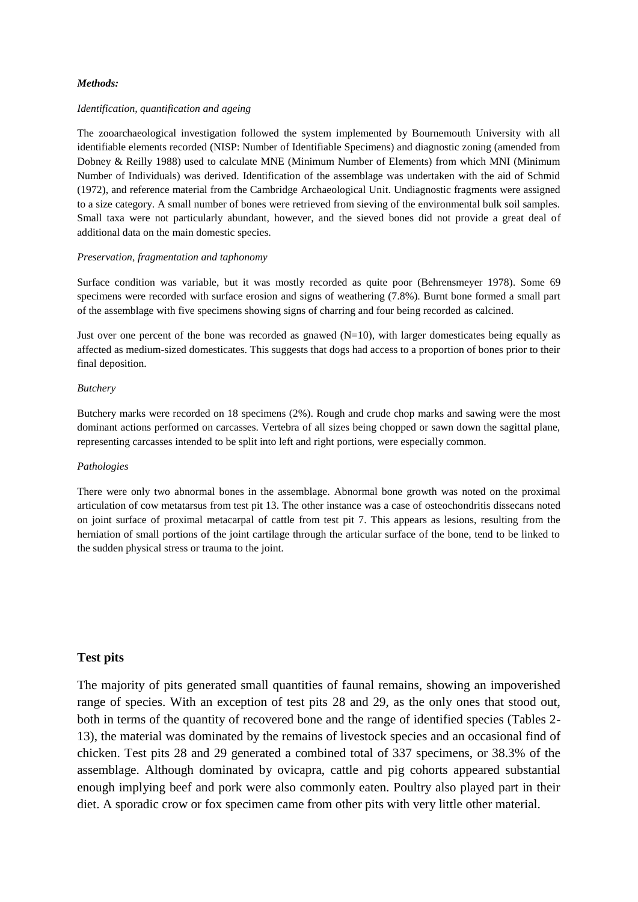### *Methods:*

#### *Identification, quantification and ageing*

The zooarchaeological investigation followed the system implemented by Bournemouth University with all identifiable elements recorded (NISP: Number of Identifiable Specimens) and diagnostic zoning (amended from Dobney & Reilly 1988) used to calculate MNE (Minimum Number of Elements) from which MNI (Minimum Number of Individuals) was derived. Identification of the assemblage was undertaken with the aid of Schmid (1972), and reference material from the Cambridge Archaeological Unit. Undiagnostic fragments were assigned to a size category. A small number of bones were retrieved from sieving of the environmental bulk soil samples. Small taxa were not particularly abundant, however, and the sieved bones did not provide a great deal of additional data on the main domestic species.

#### *Preservation, fragmentation and taphonomy*

Surface condition was variable, but it was mostly recorded as quite poor (Behrensmeyer 1978). Some 69 specimens were recorded with surface erosion and signs of weathering (7.8%). Burnt bone formed a small part of the assemblage with five specimens showing signs of charring and four being recorded as calcined.

Just over one percent of the bone was recorded as gnawed  $(N=10)$ , with larger domesticates being equally as affected as medium-sized domesticates. This suggests that dogs had access to a proportion of bones prior to their final deposition.

#### *Butchery*

Butchery marks were recorded on 18 specimens (2%). Rough and crude chop marks and sawing were the most dominant actions performed on carcasses. Vertebra of all sizes being chopped or sawn down the sagittal plane, representing carcasses intended to be split into left and right portions, were especially common.

### *Pathologies*

There were only two abnormal bones in the assemblage. Abnormal bone growth was noted on the proximal articulation of cow metatarsus from test pit 13. The other instance was a case of osteochondritis dissecans noted on joint surface of proximal metacarpal of cattle from test pit 7. This appears as lesions, resulting from the herniation of small portions of the joint cartilage through the articular surface of the bone, tend to be linked to the sudden physical stress or trauma to the joint.

## **Test pits**

The majority of pits generated small quantities of faunal remains, showing an impoverished range of species. With an exception of test pits 28 and 29, as the only ones that stood out, both in terms of the quantity of recovered bone and the range of identified species (Tables 2- 13), the material was dominated by the remains of livestock species and an occasional find of chicken. Test pits 28 and 29 generated a combined total of 337 specimens, or 38.3% of the assemblage. Although dominated by ovicapra, cattle and pig cohorts appeared substantial enough implying beef and pork were also commonly eaten. Poultry also played part in their diet. A sporadic crow or fox specimen came from other pits with very little other material.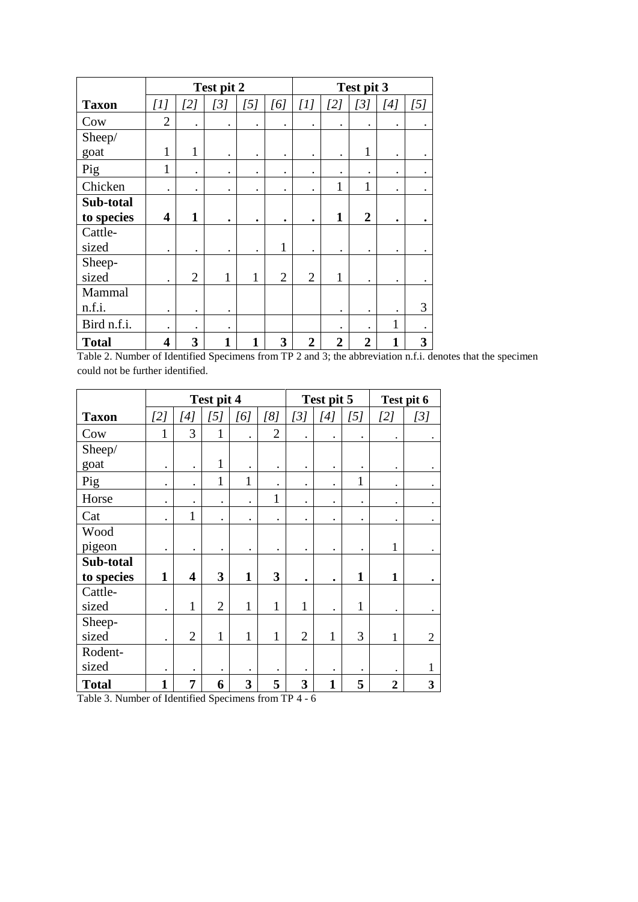|              |                         |                | Test pit 2   |              |                |                |                | Test pit 3     |                                                                                                                                                                                                                                                                                                                                                                                                                                                                                                                                                |           |
|--------------|-------------------------|----------------|--------------|--------------|----------------|----------------|----------------|----------------|------------------------------------------------------------------------------------------------------------------------------------------------------------------------------------------------------------------------------------------------------------------------------------------------------------------------------------------------------------------------------------------------------------------------------------------------------------------------------------------------------------------------------------------------|-----------|
| <b>Taxon</b> | [1]                     | [2]            | [3]          | [5]          | [6]            | [1]            | [2]            | [3]            | $[4] % \begin{minipage}[b]{0.45\linewidth} \centering \includegraphics[width=\textwidth]{figs/fig_4.pdf} \caption{The figure shows the \textit{exit} (top) and the \textit{exit} (top) are shown in the \textit{exit} (top) and the \textit{exit} (top) are shown in the \textit{exit} (top) and the \textit{exit} (top) are shown in the \textit{exit} (top) and the \textit{exit} (bottom) are shown in the \textit{exit} (bottom) and the \textit{exit} (bottom) are shown in the \textit{exit} (bottom).} \label{fig:exit} \end{minipage}$ | [5]       |
| Cow          | $\overline{2}$          | $\bullet$      | $\bullet$    | $\bullet$    | $\bullet$      | ٠              | ٠              |                |                                                                                                                                                                                                                                                                                                                                                                                                                                                                                                                                                |           |
| Sheep/       |                         |                |              |              |                |                |                |                |                                                                                                                                                                                                                                                                                                                                                                                                                                                                                                                                                |           |
| goat         | $\mathbf{1}$            | $\mathbf{1}$   | $\bullet$    | $\bullet$    |                | ٠              | ٠              | 1              |                                                                                                                                                                                                                                                                                                                                                                                                                                                                                                                                                |           |
| Pig          | $\mathbf{1}$            | $\bullet$      | $\bullet$    | $\bullet$    | $\bullet$      | ٠              | ٠              | $\bullet$      | $\bullet$                                                                                                                                                                                                                                                                                                                                                                                                                                                                                                                                      | $\bullet$ |
| Chicken      | $\bullet$               |                | ٠            | $\bullet$    | ٠              |                | 1              | $\mathbf{1}$   | $\bullet$                                                                                                                                                                                                                                                                                                                                                                                                                                                                                                                                      |           |
| Sub-total    |                         |                |              |              |                |                |                |                |                                                                                                                                                                                                                                                                                                                                                                                                                                                                                                                                                |           |
| to species   | $\overline{\mathbf{4}}$ | 1              | ٠            | ٠            | ٠              | ٠              | 1              | $\overline{2}$ | ٠                                                                                                                                                                                                                                                                                                                                                                                                                                                                                                                                              |           |
| Cattle-      |                         |                |              |              |                |                |                |                |                                                                                                                                                                                                                                                                                                                                                                                                                                                                                                                                                |           |
| sized        | $\bullet$               | $\bullet$      | ٠            | $\bullet$    | $\mathbf{1}$   |                | $\bullet$      |                |                                                                                                                                                                                                                                                                                                                                                                                                                                                                                                                                                |           |
| Sheep-       |                         |                |              |              |                |                |                |                |                                                                                                                                                                                                                                                                                                                                                                                                                                                                                                                                                |           |
| sized        |                         | $\overline{2}$ | $\mathbf{1}$ | 1            | $\overline{2}$ | $\overline{2}$ | 1              |                |                                                                                                                                                                                                                                                                                                                                                                                                                                                                                                                                                |           |
| Mammal       |                         |                |              |              |                |                |                |                |                                                                                                                                                                                                                                                                                                                                                                                                                                                                                                                                                |           |
| n.f.i.       | $\bullet$               | $\bullet$      | $\bullet$    |              |                |                | $\bullet$      |                |                                                                                                                                                                                                                                                                                                                                                                                                                                                                                                                                                | 3         |
| Bird n.f.i.  | $\bullet$               | $\bullet$      | ٠            |              |                |                |                |                | $\mathbf{1}$                                                                                                                                                                                                                                                                                                                                                                                                                                                                                                                                   |           |
| <b>Total</b> | 4                       | 3              | 1            | $\mathbf{1}$ | 3              | $\overline{2}$ | $\overline{2}$ | 2              |                                                                                                                                                                                                                                                                                                                                                                                                                                                                                                                                                | 3         |

Table 2. Number of Identified Specimens from TP 2 and 3; the abbreviation n.f.i. denotes that the specimen could not be further identified.

|              |              |                         | Test pit 4     |              |                |                | Test pit 5   |              |                      | Test pit 6     |
|--------------|--------------|-------------------------|----------------|--------------|----------------|----------------|--------------|--------------|----------------------|----------------|
| <b>Taxon</b> | [2]          | [4]                     | [5]            | [6]          | [8]            | [3]            | [4]          | [5]          | [2]                  | [3]            |
| Cow          | $\mathbf{1}$ | 3                       | $\mathbf{1}$   |              | $\overline{2}$ |                | ٠            |              |                      |                |
| Sheep/       |              |                         |                |              |                |                |              |              |                      |                |
| goat         | $\bullet$    | $\bullet$               | 1              |              | $\bullet$      | $\bullet$      | $\bullet$    | $\bullet$    | ٠                    |                |
| Pig          | $\bullet$    | $\bullet$               | $\mathbf{1}$   | $\mathbf{1}$ | $\bullet$      |                | $\bullet$    | $\mathbf{1}$ | $\ddot{\phantom{0}}$ |                |
| Horse        | $\bullet$    | $\bullet$               | $\bullet$      |              | 1              | $\bullet$      | ٠            | ٠            | $\bullet$            |                |
| Cat          | $\bullet$    | $\mathbf{1}$            | $\bullet$      | ٠            | $\bullet$      | $\bullet$      | ٠            | ٠            |                      |                |
| Wood         |              |                         |                |              |                |                |              |              |                      |                |
| pigeon       | ٠            | $\bullet$               |                | ٠            | $\bullet$      | $\bullet$      | ٠            | ٠            | $\mathbf{1}$         |                |
| Sub-total    |              |                         |                |              |                |                |              |              |                      |                |
| to species   | $\mathbf{1}$ | $\overline{\mathbf{4}}$ | 3              | $\mathbf{1}$ | 3              | $\bullet$      | ٠            | $\mathbf{1}$ | 1                    |                |
| Cattle-      |              |                         |                |              |                |                |              |              |                      |                |
| sized        |              | 1                       | $\overline{2}$ | 1            | $\mathbf{1}$   | 1              | ٠            | $\mathbf{1}$ |                      |                |
| Sheep-       |              |                         |                |              |                |                |              |              |                      |                |
| sized        | ٠            | $\overline{2}$          | $\mathbf{1}$   | $\mathbf{1}$ | $\mathbf{1}$   | $\overline{2}$ | $\mathbf{1}$ | 3            | $\mathbf{1}$         | $\overline{2}$ |
| Rodent-      |              |                         |                |              |                |                |              |              |                      |                |
| sized        | $\bullet$    | $\bullet$               | $\bullet$      |              |                |                | ٠            |              |                      | 1              |
| <b>Total</b> | 1            | 7                       | 6              | 3            | 5              | 3              | $\mathbf{1}$ | 5            | $\overline{2}$       | 3              |

Table 3. Number of Identified Specimens from TP 4 - 6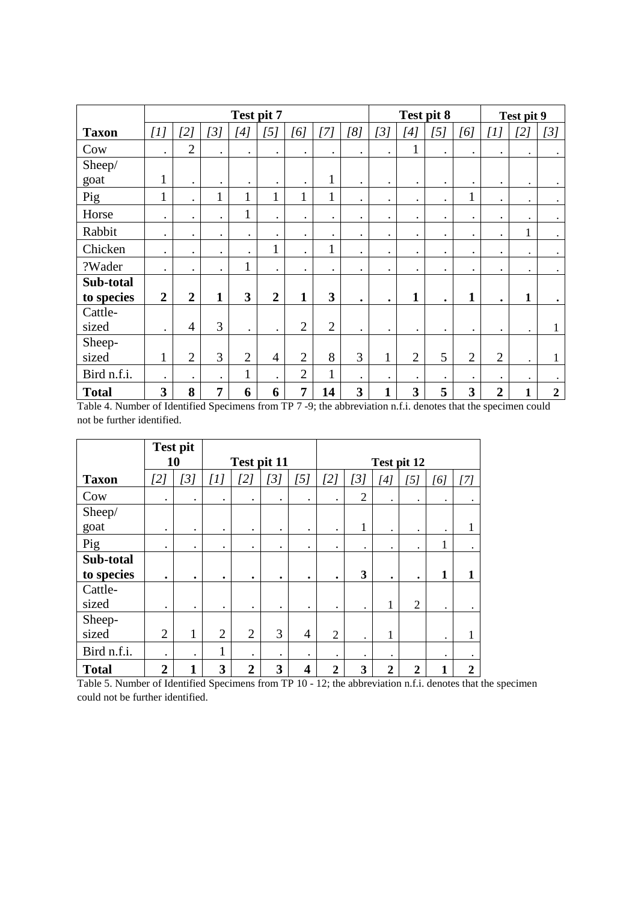|              |                | Test pit 7<br>[1]<br>[2]<br>[3]<br>[5]<br>[4]<br>[6]<br>$\overline{2}$<br>$\bullet$<br>$\bullet$<br>$\bullet$<br>$\bullet$<br>$\bullet$<br>$\mathbf{1}$<br>$\bullet$<br>$\bullet$<br>$\bullet$<br>$\bullet$<br>$\mathbf{1}$<br>$\mathbf{1}$<br>$\mathbf{1}$<br>1<br>$\mathbf{1}$<br>$\bullet$<br>1<br>$\bullet$<br>$\bullet$<br>$\bullet$<br>$\bullet$<br>$\bullet$<br>$\bullet$<br>$\bullet$<br>$\bullet$<br>$\bullet$<br>$\bullet$<br>$\mathbf{1}$<br>$\bullet$<br>$\bullet$<br>$\bullet$<br>$\bullet$<br>$\mathbf{1}$<br>$\bullet$<br>$\bullet$<br>$\bullet$<br>$\bullet$ |           |                |                |                |                |           | Test pit 8   |                                                                                                                                                                                                                                                                                                                                                                                                                                                                                                                                                |                      |                | Test pit 9     |              |                |
|--------------|----------------|------------------------------------------------------------------------------------------------------------------------------------------------------------------------------------------------------------------------------------------------------------------------------------------------------------------------------------------------------------------------------------------------------------------------------------------------------------------------------------------------------------------------------------------------------------------------------|-----------|----------------|----------------|----------------|----------------|-----------|--------------|------------------------------------------------------------------------------------------------------------------------------------------------------------------------------------------------------------------------------------------------------------------------------------------------------------------------------------------------------------------------------------------------------------------------------------------------------------------------------------------------------------------------------------------------|----------------------|----------------|----------------|--------------|----------------|
| <b>Taxon</b> |                |                                                                                                                                                                                                                                                                                                                                                                                                                                                                                                                                                                              |           |                |                |                | [7]            | [8]       | [3]          | $[4] % \begin{minipage}[b]{0.45\linewidth} \centering \includegraphics[width=\textwidth]{figs/fig_4.pdf} \caption{The figure shows the \textit{exit} (top) and the \textit{exit} (top) are shown in the \textit{exit} (top) and the \textit{exit} (top) are shown in the \textit{exit} (top) and the \textit{exit} (top) are shown in the \textit{exit} (top) and the \textit{exit} (bottom) are shown in the \textit{exit} (bottom) and the \textit{exit} (bottom) are shown in the \textit{exit} (bottom).} \label{fig:exit} \end{minipage}$ | [5]                  | [6]            | [1]            | [2]          | [3]            |
| Cow          |                |                                                                                                                                                                                                                                                                                                                                                                                                                                                                                                                                                                              |           |                |                |                | $\bullet$      | $\bullet$ | $\bullet$    | 1                                                                                                                                                                                                                                                                                                                                                                                                                                                                                                                                              | $\bullet$            | $\bullet$      | $\bullet$      | $\bullet$    | $\bullet$      |
| Sheep/       |                |                                                                                                                                                                                                                                                                                                                                                                                                                                                                                                                                                                              |           |                |                |                |                |           |              |                                                                                                                                                                                                                                                                                                                                                                                                                                                                                                                                                |                      |                |                |              |                |
| goat         |                |                                                                                                                                                                                                                                                                                                                                                                                                                                                                                                                                                                              |           |                |                |                | $\mathbf{1}$   | $\bullet$ | $\bullet$    | $\bullet$                                                                                                                                                                                                                                                                                                                                                                                                                                                                                                                                      | $\bullet$            | $\bullet$      |                |              |                |
| Pig          |                |                                                                                                                                                                                                                                                                                                                                                                                                                                                                                                                                                                              |           |                |                |                | $\mathbf{1}$   | $\bullet$ | $\bullet$    | $\bullet$                                                                                                                                                                                                                                                                                                                                                                                                                                                                                                                                      | $\ddot{\phantom{0}}$ | 1              | $\bullet$      | $\bullet$    | $\bullet$      |
| Horse        |                |                                                                                                                                                                                                                                                                                                                                                                                                                                                                                                                                                                              |           |                |                |                | $\bullet$      | $\bullet$ | $\bullet$    | $\bullet$                                                                                                                                                                                                                                                                                                                                                                                                                                                                                                                                      | $\bullet$            | $\bullet$      | ٠              |              |                |
| Rabbit       |                |                                                                                                                                                                                                                                                                                                                                                                                                                                                                                                                                                                              |           |                |                |                | $\bullet$      | $\bullet$ | $\bullet$    | $\bullet$                                                                                                                                                                                                                                                                                                                                                                                                                                                                                                                                      | $\bullet$            | $\bullet$      | $\bullet$      | $\mathbf{1}$ |                |
| Chicken      |                |                                                                                                                                                                                                                                                                                                                                                                                                                                                                                                                                                                              |           |                |                |                | 1              | $\bullet$ | $\bullet$    | $\bullet$                                                                                                                                                                                                                                                                                                                                                                                                                                                                                                                                      | $\bullet$            | $\bullet$      | $\bullet$      | $\bullet$    |                |
| ?Wader       |                |                                                                                                                                                                                                                                                                                                                                                                                                                                                                                                                                                                              |           |                |                |                | $\bullet$      | $\bullet$ | $\bullet$    | $\bullet$                                                                                                                                                                                                                                                                                                                                                                                                                                                                                                                                      | $\bullet$            | $\bullet$      | $\bullet$      | $\bullet$    |                |
| Sub-total    |                |                                                                                                                                                                                                                                                                                                                                                                                                                                                                                                                                                                              |           |                |                |                |                |           |              |                                                                                                                                                                                                                                                                                                                                                                                                                                                                                                                                                |                      |                |                |              |                |
| to species   | $\overline{2}$ | $\overline{2}$                                                                                                                                                                                                                                                                                                                                                                                                                                                                                                                                                               | 1         | 3              | $\overline{2}$ | $\mathbf{1}$   | 3              | $\bullet$ | ٠            | 1                                                                                                                                                                                                                                                                                                                                                                                                                                                                                                                                              | $\bullet$            | 1              | ٠              | 1            |                |
| Cattle-      |                |                                                                                                                                                                                                                                                                                                                                                                                                                                                                                                                                                                              |           |                |                |                |                |           |              |                                                                                                                                                                                                                                                                                                                                                                                                                                                                                                                                                |                      |                |                |              |                |
| sized        | $\bullet$      | $\overline{4}$                                                                                                                                                                                                                                                                                                                                                                                                                                                                                                                                                               | 3         | $\bullet$      |                | $\overline{2}$ | $\overline{2}$ | $\bullet$ | $\bullet$    |                                                                                                                                                                                                                                                                                                                                                                                                                                                                                                                                                | $\bullet$            | $\bullet$      | $\bullet$      |              |                |
| Sheep-       |                |                                                                                                                                                                                                                                                                                                                                                                                                                                                                                                                                                                              |           |                |                |                |                |           |              |                                                                                                                                                                                                                                                                                                                                                                                                                                                                                                                                                |                      |                |                |              |                |
| sized        | $\mathbf{1}$   | $\overline{2}$                                                                                                                                                                                                                                                                                                                                                                                                                                                                                                                                                               | 3         | $\overline{2}$ | $\overline{4}$ | $\overline{2}$ | 8              | 3         | $\mathbf{1}$ | $\overline{2}$                                                                                                                                                                                                                                                                                                                                                                                                                                                                                                                                 | 5                    | $\overline{2}$ | $\overline{2}$ |              |                |
| Bird n.f.i.  | $\bullet$      | $\bullet$                                                                                                                                                                                                                                                                                                                                                                                                                                                                                                                                                                    | $\bullet$ | $\mathbf{1}$   | $\bullet$      | $\overline{2}$ | $\mathbf{1}$   |           | $\bullet$    | $\bullet$                                                                                                                                                                                                                                                                                                                                                                                                                                                                                                                                      | $\bullet$            | $\bullet$      | $\bullet$      | $\bullet$    |                |
| <b>Total</b> | 3              | 8                                                                                                                                                                                                                                                                                                                                                                                                                                                                                                                                                                            | 7         | 6              | 6              | $\overline{7}$ | 14             | 3         | $\mathbf{1}$ | 3                                                                                                                                                                                                                                                                                                                                                                                                                                                                                                                                              | 5                    | 3              | $\overline{2}$ | 1            | $\overline{2}$ |

Table 4. Number of Identified Specimens from TP 7 -9; the abbreviation n.f.i. denotes that the specimen could not be further identified.

|              |                | <b>Test pit</b> |                |                  |           |                                                                                                                                                                                                                                                          |                |                |                  |                |              |                  |
|--------------|----------------|-----------------|----------------|------------------|-----------|----------------------------------------------------------------------------------------------------------------------------------------------------------------------------------------------------------------------------------------------------------|----------------|----------------|------------------|----------------|--------------|------------------|
|              |                | 10              |                | Test pit 11      |           |                                                                                                                                                                                                                                                          |                |                |                  | Test pit 12    |              |                  |
| <b>Taxon</b> | [2]            | [3]             | $[1]$          | [2]              | [3]       | $[5] % \begin{minipage}[b]{0.45\linewidth} \centering \includegraphics[width=\textwidth]{figs/fig_4.pdf} \caption{The 3D (top) and 4D (bottom) are shown in \textit{Stab} and the 3D (bottom) are shown in \textit{Stab}.} \label{fig:1} \end{minipage}$ | [2]            | [3]            | [4]              | [5]            | [6]          | [7]              |
| Cow          | $\bullet$      | $\bullet$       | $\bullet$      | $\bullet$        | $\bullet$ | $\bullet$                                                                                                                                                                                                                                                | $\bullet$      | $\overline{2}$ | $\bullet$        | ٠              | $\bullet$    | ٠                |
| Sheep/       |                |                 |                |                  |           |                                                                                                                                                                                                                                                          |                |                |                  |                |              |                  |
| goat         | $\bullet$      | $\bullet$       | $\bullet$      | $\bullet$        | $\bullet$ | $\bullet$                                                                                                                                                                                                                                                | $\bullet$      |                | $\bullet$        | $\bullet$      | $\bullet$    | 1                |
| Pig          | $\bullet$      | $\bullet$       | $\bullet$      | $\bullet$        | ٠         | $\bullet$                                                                                                                                                                                                                                                | $\bullet$      | $\bullet$      | $\bullet$        | ٠              | 1            | $\bullet$        |
| Sub-total    |                |                 |                |                  |           |                                                                                                                                                                                                                                                          |                |                |                  |                |              |                  |
| to species   | ٠              | ٠               | ٠              | ٠                | $\bullet$ | ٠                                                                                                                                                                                                                                                        | ٠              | 3              | ٠                | ۰              | $\mathbf{1}$ |                  |
| Cattle-      |                |                 |                |                  |           |                                                                                                                                                                                                                                                          |                |                |                  |                |              |                  |
| sized        | $\bullet$      | $\bullet$       |                | $\bullet$        | $\bullet$ | $\bullet$                                                                                                                                                                                                                                                | $\bullet$      | $\bullet$      | 1                | $\overline{2}$ | $\bullet$    |                  |
| Sheep-       |                |                 |                |                  |           |                                                                                                                                                                                                                                                          |                |                |                  |                |              |                  |
| sized        | $\overline{2}$ | 1               | $\overline{2}$ | $\overline{2}$   | 3         | $\overline{4}$                                                                                                                                                                                                                                           | $\overline{2}$ | $\bullet$      | 1                |                | $\bullet$    | 1                |
| Bird n.f.i.  | $\bullet$      | $\bullet$       | 1              | $\bullet$        | $\bullet$ | $\bullet$                                                                                                                                                                                                                                                | $\bullet$      | $\bullet$      | $\bullet$        |                | $\bullet$    |                  |
| <b>Total</b> | $\overline{2}$ | 1               | 3              | $\boldsymbol{2}$ | 3         | $\overline{\mathbf{4}}$                                                                                                                                                                                                                                  | $\overline{2}$ | 3              | $\boldsymbol{2}$ | $\overline{2}$ | 1            | $\boldsymbol{2}$ |

Table 5. Number of Identified Specimens from TP 10 - 12; the abbreviation n.f.i. denotes that the specimen could not be further identified.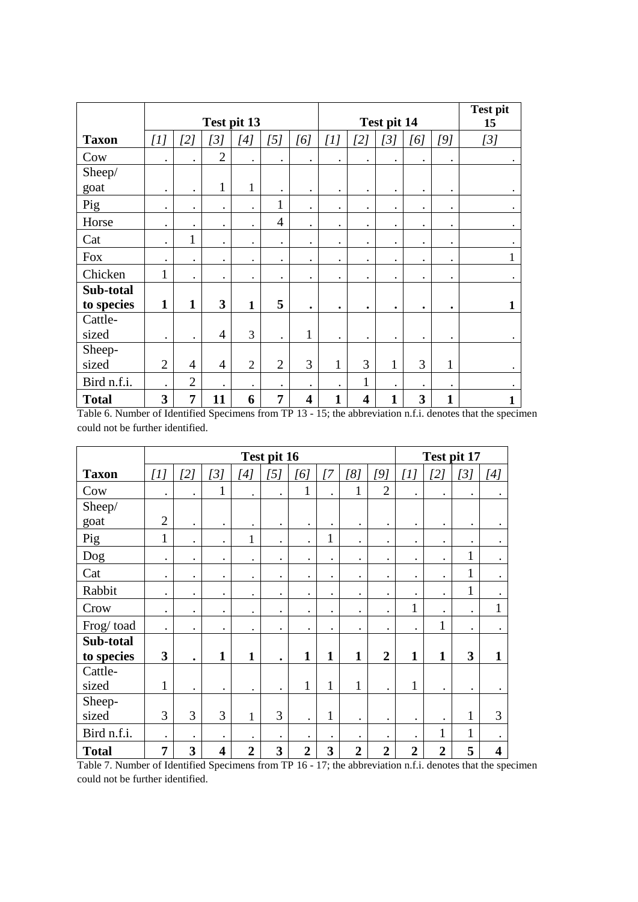|              |                |                | Test pit 13    |                      |                |                         |              |                         | Test pit 14  |           |              | <b>Test pit</b><br>15 |
|--------------|----------------|----------------|----------------|----------------------|----------------|-------------------------|--------------|-------------------------|--------------|-----------|--------------|-----------------------|
| <b>Taxon</b> | [1]            | [2]            | [3]            | [4]                  | [5]            | [6]                     | [1]          | [2]                     | [3]          | [6]       | [9]          | [3]                   |
| Cow          | $\bullet$      | $\bullet$      | $\overline{2}$ | $\ddot{\phantom{0}}$ | $\bullet$      | $\bullet$               | $\bullet$    | $\bullet$               | $\bullet$    | $\bullet$ | $\bullet$    |                       |
| Sheep/       |                |                |                |                      |                |                         |              |                         |              |           |              |                       |
| goat         | $\bullet$      | $\bullet$      | $\mathbf{1}$   | 1                    | $\bullet$      | $\bullet$               | $\bullet$    | $\bullet$               | $\bullet$    | $\bullet$ | $\bullet$    |                       |
| Pig          | $\cdot$        | $\bullet$      | $\bullet$      | $\bullet$            | $\mathbf{1}$   | $\cdot$                 | $\bullet$    | $\cdot$                 | $\bullet$    | $\bullet$ | $\bullet$    | $\bullet$             |
| Horse        | $\cdot$        | $\bullet$      | $\bullet$      | $\bullet$            | $\overline{4}$ | $\bullet$               | $\bullet$    | $\bullet$               | $\bullet$    | $\bullet$ | $\bullet$    |                       |
| Cat          | $\bullet$      | 1              | $\bullet$      | $\bullet$            | $\bullet$      | $\bullet$               | $\bullet$    | $\bullet$               | $\bullet$    | $\bullet$ | $\bullet$    |                       |
| <b>Fox</b>   | $\bullet$      | $\bullet$      | $\bullet$      | $\bullet$            | $\bullet$      | $\bullet$               | $\bullet$    | $\bullet$               | $\bullet$    | $\bullet$ | $\bullet$    |                       |
| Chicken      | $\mathbf{1}$   | $\bullet$      | $\bullet$      | $\bullet$            | $\bullet$      | $\bullet$               | $\bullet$    | $\bullet$               | $\bullet$    | $\bullet$ | ٠            |                       |
| Sub-total    |                |                |                |                      |                |                         |              |                         |              |           |              |                       |
| to species   | $\mathbf{1}$   | 1              | $\mathbf{3}$   | $\mathbf{1}$         | 5              | $\bullet$               | $\bullet$    | $\bullet$               | $\bullet$    | $\bullet$ | $\bullet$    | 1                     |
| Cattle-      |                |                |                |                      |                |                         |              |                         |              |           |              |                       |
| sized        | $\bullet$      | $\bullet$      | $\overline{4}$ | 3                    | $\bullet$      | $\mathbf{1}$            | $\bullet$    | $\bullet$               | $\bullet$    | $\bullet$ | $\bullet$    |                       |
| Sheep-       |                |                |                |                      |                |                         |              |                         |              |           |              |                       |
| sized        | $\overline{2}$ | $\overline{4}$ | $\overline{4}$ | $\overline{2}$       | $\overline{2}$ | 3                       | $\mathbf{1}$ | 3                       | $\mathbf{1}$ | 3         | $\mathbf{1}$ |                       |
| Bird n.f.i.  | $\bullet$      | $\overline{2}$ | $\bullet$      | $\bullet$            | $\bullet$      | $\bullet$               | $\bullet$    | $\mathbf{1}$            | $\bullet$    | $\bullet$ | $\bullet$    |                       |
| <b>Total</b> | 3              | 7              | 11             | 6                    | 7              | $\overline{\mathbf{4}}$ | $\mathbf{1}$ | $\overline{\mathbf{4}}$ | $\mathbf{1}$ | 3         | 1            |                       |

Table 6. Number of Identified Specimens from TP 13 - 15; the abbreviation n.f.i. denotes that the specimen could not be further identified.

|              |                |           |              |                | Test pit 16          |                |              |                |                |                |                      | Test pit 17          |                         |
|--------------|----------------|-----------|--------------|----------------|----------------------|----------------|--------------|----------------|----------------|----------------|----------------------|----------------------|-------------------------|
| <b>Taxon</b> | [1]            | [2]       | [3]          | [4]            | [5]                  | [6]            | 77           | [8]            | [9]            | [1]            | [2]                  | [3]                  | [4]                     |
| Cow          | $\bullet$      | $\bullet$ | $\mathbf{1}$ | $\bullet$      | $\bullet$            | $\mathbf{1}$   | $\bullet$    | $\mathbf{1}$   | $\overline{2}$ | $\bullet$      | $\bullet$            | $\bullet$            |                         |
| Sheep/       |                |           |              |                |                      |                |              |                |                |                |                      |                      |                         |
| goat         | $\overline{2}$ | $\bullet$ | $\bullet$    | $\bullet$      | $\bullet$            | $\bullet$      | $\bullet$    | $\bullet$      | $\bullet$      | $\bullet$      | $\bullet$            | $\bullet$            |                         |
| Pig          | 1              | $\bullet$ | $\bullet$    | 1              | $\ddot{\phantom{0}}$ |                | 1            | $\bullet$      | $\bullet$      | $\bullet$      | $\bullet$            | $\bullet$            |                         |
| Dog          | $\bullet$      | $\bullet$ | $\bullet$    | $\bullet$      | $\bullet$            | $\bullet$      | $\bullet$    | $\bullet$      | $\bullet$      | $\bullet$      | $\ddot{\phantom{0}}$ | $\mathbf{1}$         |                         |
| Cat          | $\bullet$      | $\bullet$ | $\bullet$    | $\bullet$      | $\bullet$            | $\bullet$      | $\bullet$    | $\bullet$      | $\bullet$      | $\bullet$      | $\bullet$            | 1                    | $\bullet$               |
| Rabbit       | $\bullet$      | $\bullet$ | $\bullet$    | $\bullet$      | $\bullet$            | $\bullet$      | $\bullet$    | $\bullet$      | $\bullet$      | $\bullet$      | $\bullet$            | $\mathbf{1}$         |                         |
| Crow         | $\bullet$      | $\bullet$ | $\bullet$    | $\bullet$      | $\bullet$            | $\bullet$      | $\bullet$    | $\bullet$      | $\bullet$      | 1              | $\ddot{\phantom{0}}$ | $\bullet$            | $\mathbf{1}$            |
| Frog/toad    | $\bullet$      | $\bullet$ | $\bullet$    | $\bullet$      | $\bullet$            | $\bullet$      | $\cdot$      | $\bullet$      | $\bullet$      | $\bullet$      | 1                    | $\ddot{\phantom{a}}$ |                         |
| Sub-total    |                |           |              |                |                      |                |              |                |                |                |                      |                      |                         |
| to species   | $\mathbf{3}$   | $\bullet$ | $\mathbf{1}$ | 1              | $\bullet$            | $\mathbf{1}$   | $\mathbf{1}$ | $\mathbf{1}$   | $\overline{2}$ | 1              | $\mathbf{1}$         | 3                    | $\mathbf{1}$            |
| Cattle-      |                |           |              |                |                      |                |              |                |                |                |                      |                      |                         |
| sized        | $\mathbf{1}$   | $\bullet$ | $\bullet$    | $\bullet$      | $\bullet$            | $\mathbf{1}$   | $\mathbf{1}$ | $\mathbf{1}$   | $\bullet$      | 1              | $\bullet$            | $\bullet$            |                         |
| Sheep-       |                |           |              |                |                      |                |              |                |                |                |                      |                      |                         |
| sized        | 3              | 3         | 3            | $\mathbf{1}$   | 3                    | $\bullet$      | 1            | $\bullet$      | $\bullet$      | $\bullet$      | $\bullet$            | $\mathbf{1}$         | 3                       |
| Bird n.f.i.  | $\bullet$      | $\bullet$ | $\bullet$    | $\bullet$      | $\bullet$            | $\bullet$      | $\bullet$    | $\blacksquare$ | $\bullet$      | $\bullet$      | $\mathbf{1}$         | 1                    |                         |
| <b>Total</b> | 7              | 3         | 4            | $\overline{2}$ | 3                    | $\overline{2}$ | 3            | $\overline{2}$ | $\overline{2}$ | $\overline{2}$ | $\overline{2}$       | 5                    | $\overline{\mathbf{4}}$ |

Table 7. Number of Identified Specimens from TP 16 - 17; the abbreviation n.f.i. denotes that the specimen could not be further identified.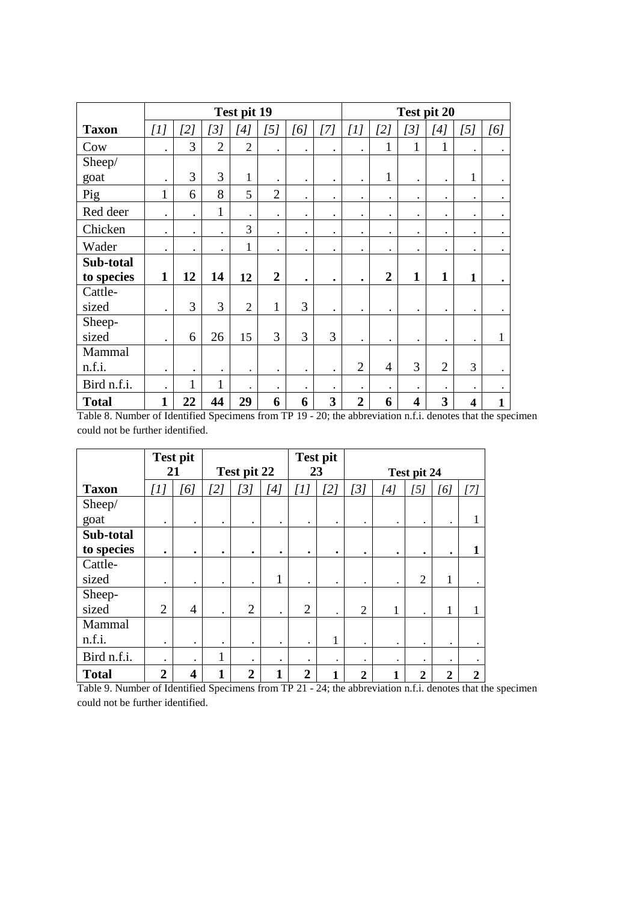|              |              | Test pit 19<br>$[5]$<br>[2]<br>[3]<br>[4]<br>[6]<br>3<br>$\overline{2}$<br>$\overline{2}$<br>3<br>3<br>$\mathbf{1}$<br>$\cdot$<br>$\bullet$<br>$\bullet$<br>8<br>$\overline{2}$<br>$\mathbf{1}$<br>6<br>5<br>$\bullet$<br>$\mathbf{1}$<br>$\bullet$<br>$\bullet$<br>$\bullet$<br>$\bullet$<br>$\bullet$<br>3<br>$\bullet$<br>$\bullet$<br>$\bullet$<br>$\bullet$<br>$\mathbf{1}$<br>$\bullet$<br>$\bullet$<br>$\bullet$<br>$\bullet$<br>$\bullet$<br>12<br>14<br>$\overline{2}$<br>1<br>12<br>$\bullet$ |              |                      |              |           |                                                                                                                                                                                                                                                                          |                |                |                         | Test pit 20    |                         |           |
|--------------|--------------|---------------------------------------------------------------------------------------------------------------------------------------------------------------------------------------------------------------------------------------------------------------------------------------------------------------------------------------------------------------------------------------------------------------------------------------------------------------------------------------------------------|--------------|----------------------|--------------|-----------|--------------------------------------------------------------------------------------------------------------------------------------------------------------------------------------------------------------------------------------------------------------------------|----------------|----------------|-------------------------|----------------|-------------------------|-----------|
| <b>Taxon</b> | $[1]$        |                                                                                                                                                                                                                                                                                                                                                                                                                                                                                                         |              |                      |              |           | $[7] \centering% \includegraphics[width=1\textwidth]{images/TransY.pdf} \caption{The 3D (top) and the 4D (bottom) of the 3D (bottom) of the 3D (bottom) of the 3D (bottom) of the 3D (bottom) of the 3D (bottom) of the 3D (bottom) of the 3D (bottom).} \label{fig:3D}$ | [1]            | [2]            | [3]                     | $[4]$          | [5]                     | [6]       |
| Cow          |              |                                                                                                                                                                                                                                                                                                                                                                                                                                                                                                         |              |                      |              |           | $\bullet$                                                                                                                                                                                                                                                                |                | 1              | 1                       | 1              |                         |           |
| Sheep/       |              |                                                                                                                                                                                                                                                                                                                                                                                                                                                                                                         |              |                      |              |           |                                                                                                                                                                                                                                                                          |                |                |                         |                |                         |           |
| goat         |              |                                                                                                                                                                                                                                                                                                                                                                                                                                                                                                         |              |                      |              |           | $\bullet$                                                                                                                                                                                                                                                                | $\bullet$      | $\mathbf{1}$   | $\bullet$               | $\bullet$      | 1                       | $\bullet$ |
| Pig          |              |                                                                                                                                                                                                                                                                                                                                                                                                                                                                                                         |              |                      |              |           | $\bullet$                                                                                                                                                                                                                                                                | $\bullet$      | $\bullet$      | $\bullet$               | $\bullet$      | $\bullet$               | $\bullet$ |
| Red deer     |              |                                                                                                                                                                                                                                                                                                                                                                                                                                                                                                         |              |                      |              |           | $\bullet$                                                                                                                                                                                                                                                                | $\bullet$      | $\bullet$      | $\bullet$               | $\bullet$      | $\bullet$               | $\bullet$ |
| Chicken      |              |                                                                                                                                                                                                                                                                                                                                                                                                                                                                                                         |              |                      |              |           | $\bullet$                                                                                                                                                                                                                                                                | $\bullet$      | $\bullet$      | $\bullet$               |                |                         | $\bullet$ |
| Wader        |              |                                                                                                                                                                                                                                                                                                                                                                                                                                                                                                         |              |                      |              |           | $\bullet$                                                                                                                                                                                                                                                                | $\bullet$      | $\bullet$      | $\bullet$               |                | $\bullet$               | $\bullet$ |
| Sub-total    |              |                                                                                                                                                                                                                                                                                                                                                                                                                                                                                                         |              |                      |              |           |                                                                                                                                                                                                                                                                          |                |                |                         |                |                         |           |
| to species   |              |                                                                                                                                                                                                                                                                                                                                                                                                                                                                                                         |              |                      |              |           | $\bullet$                                                                                                                                                                                                                                                                | $\bullet$      | $\overline{2}$ | $\mathbf{1}$            | $\mathbf{1}$   | $\mathbf{1}$            | $\bullet$ |
| Cattle-      |              |                                                                                                                                                                                                                                                                                                                                                                                                                                                                                                         |              |                      |              |           |                                                                                                                                                                                                                                                                          |                |                |                         |                |                         |           |
| sized        |              | 3                                                                                                                                                                                                                                                                                                                                                                                                                                                                                                       | 3            | $\overline{2}$       | $\mathbf{1}$ | 3         | $\bullet$                                                                                                                                                                                                                                                                | $\bullet$      | $\bullet$      |                         |                |                         |           |
| Sheep-       |              |                                                                                                                                                                                                                                                                                                                                                                                                                                                                                                         |              |                      |              |           |                                                                                                                                                                                                                                                                          |                |                |                         |                |                         |           |
| sized        | $\bullet$    | 6                                                                                                                                                                                                                                                                                                                                                                                                                                                                                                       | 26           | 15                   | 3            | 3         | 3                                                                                                                                                                                                                                                                        | $\cdot$        | $\bullet$      | $\bullet$               | $\bullet$      | $\bullet$               | 1         |
| Mammal       |              |                                                                                                                                                                                                                                                                                                                                                                                                                                                                                                         |              |                      |              |           |                                                                                                                                                                                                                                                                          |                |                |                         |                |                         |           |
| n.f.i.       | $\bullet$    | $\bullet$                                                                                                                                                                                                                                                                                                                                                                                                                                                                                               | $\bullet$    | $\bullet$            | $\bullet$    | $\bullet$ | $\bullet$                                                                                                                                                                                                                                                                | $\overline{2}$ | $\overline{4}$ | 3                       | $\overline{2}$ | 3                       | $\bullet$ |
| Bird n.f.i.  | $\bullet$    | $\mathbf{1}$                                                                                                                                                                                                                                                                                                                                                                                                                                                                                            | $\mathbf{1}$ | $\ddot{\phantom{a}}$ | $\bullet$    | $\bullet$ | $\bullet$                                                                                                                                                                                                                                                                | $\bullet$      | $\bullet$      |                         |                |                         |           |
| <b>Total</b> | $\mathbf{1}$ | 22                                                                                                                                                                                                                                                                                                                                                                                                                                                                                                      | 44           | 29                   | 6            | 6         | 3                                                                                                                                                                                                                                                                        | $\overline{2}$ | 6              | $\overline{\mathbf{4}}$ | 3              | $\overline{\mathbf{4}}$ | 1         |

Table 8. Number of Identified Specimens from TP 19 - 20; the abbreviation n.f.i. denotes that the specimen could not be further identified.

|              |                | <b>Test pit</b> |           |                |           |                | <b>Test pit</b> |                |                                                                                                                                                                                                                                                                           |                |                  |                  |
|--------------|----------------|-----------------|-----------|----------------|-----------|----------------|-----------------|----------------|---------------------------------------------------------------------------------------------------------------------------------------------------------------------------------------------------------------------------------------------------------------------------|----------------|------------------|------------------|
|              | 21             |                 |           | Test pit 22    |           | 23             |                 |                |                                                                                                                                                                                                                                                                           | Test pit 24    |                  |                  |
| <b>Taxon</b> | [1]            | [6]             | [2]       | $\overline{3}$ | [4]       | $[1]$          | [2]             | [3]            | $[4] % \begin{center} \includegraphics[width=\linewidth]{imagesSupplemental/Imetad-Architecture.png} \end{center} \caption{The image shows the method of the method of the method. The left-hand side is the right side (in the left) of the method.} \label{fig:limact}$ | [5]            | [6]              | $[7]$            |
| Sheep/       |                |                 |           |                |           |                |                 |                |                                                                                                                                                                                                                                                                           |                |                  |                  |
| goat         | $\bullet$      | $\bullet$       | $\bullet$ |                | $\bullet$ | $\bullet$      | $\bullet$       | $\bullet$      | $\bullet$                                                                                                                                                                                                                                                                 | ٠              | ٠                |                  |
| Sub-total    |                |                 |           |                |           |                |                 |                |                                                                                                                                                                                                                                                                           |                |                  |                  |
| to species   | ٠              | $\bullet$       | $\bullet$ | ٠              | ٠         | ٠              | $\bullet$       | $\bullet$      | $\bullet$                                                                                                                                                                                                                                                                 | ٠              | ٠                | 1                |
| Cattle-      |                |                 |           |                |           |                |                 |                |                                                                                                                                                                                                                                                                           |                |                  |                  |
| sized        | $\bullet$      | $\bullet$       | $\bullet$ |                | 1         | ٠              | $\bullet$       | ٠              |                                                                                                                                                                                                                                                                           | $\overline{2}$ | 1                |                  |
| Sheep-       |                |                 |           |                |           |                |                 |                |                                                                                                                                                                                                                                                                           |                |                  |                  |
| sized        | $\overline{2}$ | $\overline{4}$  | $\bullet$ | $\overline{2}$ | $\bullet$ | $\overline{2}$ | $\bullet$       | $\overline{2}$ | 1                                                                                                                                                                                                                                                                         |                | 1                | 1                |
| Mammal       |                |                 |           |                |           |                |                 |                |                                                                                                                                                                                                                                                                           |                |                  |                  |
| n.f.i.       | $\bullet$      | $\bullet$       | $\bullet$ | $\bullet$      | $\bullet$ | $\bullet$      | 1               | $\bullet$      | $\bullet$                                                                                                                                                                                                                                                                 | ٠              | $\bullet$        |                  |
| Bird n.f.i.  | $\bullet$      | $\bullet$       | 1<br>1    | $\bullet$      | $\bullet$ | $\bullet$      | $\bullet$       | $\bullet$      | $\bullet$                                                                                                                                                                                                                                                                 |                | $\bullet$        |                  |
| <b>Total</b> | $\overline{2}$ | 4               | 1         | $\overline{2}$ | 1         | $\overline{2}$ | 1               | $\overline{2}$ | $\mathbf{1}$                                                                                                                                                                                                                                                              | $\mathbf{2}$   | $\boldsymbol{2}$ | $\boldsymbol{2}$ |

Table 9. Number of Identified Specimens from TP 21 - 24; the abbreviation n.f.i. denotes that the specimen could not be further identified.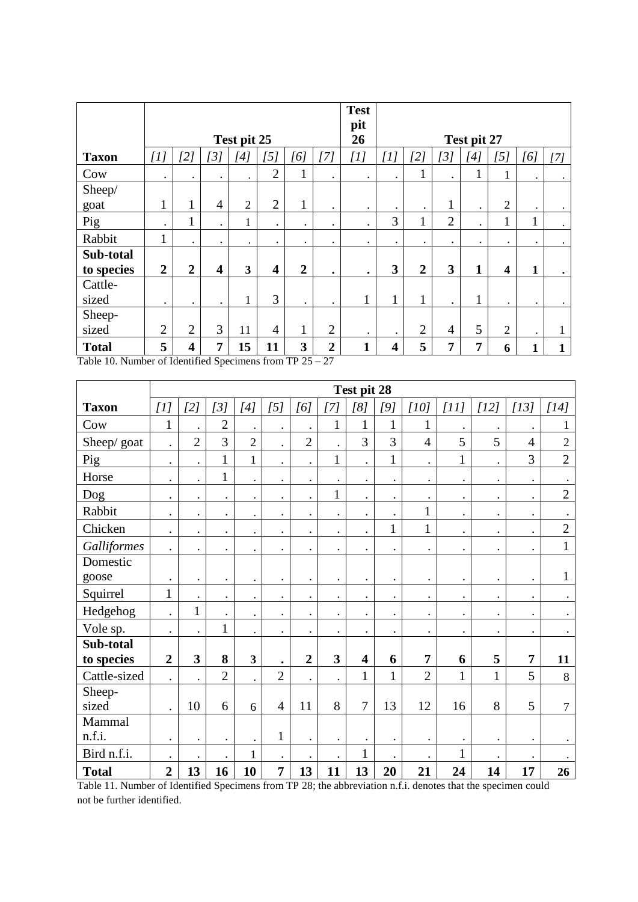|                                                                      |                |                         |                         |                |                         |                |                                 | <b>Test</b><br>pit |                         |                |                |             |                |           |           |
|----------------------------------------------------------------------|----------------|-------------------------|-------------------------|----------------|-------------------------|----------------|---------------------------------|--------------------|-------------------------|----------------|----------------|-------------|----------------|-----------|-----------|
|                                                                      |                |                         |                         | Test pit 25    |                         |                |                                 | 26                 |                         |                |                | Test pit 27 |                |           |           |
| <b>Taxon</b>                                                         | [1]            | [2]                     | [3]                     | [4]            | [5]                     | [6]            | [7]                             | [1]                | $[1]$                   | [2]            | [3]            | [4]         | [5]            | [6]       | [7]       |
| Cow                                                                  | $\bullet$      | $\bullet$               | $\bullet$               | $\bullet$      | $\overline{2}$          | 1<br>1         | $\bullet$                       | $\bullet$          | $\bullet$               | 1<br>1         | $\bullet$      |             |                | $\bullet$ | $\bullet$ |
| Sheep/                                                               |                |                         |                         |                |                         |                |                                 |                    |                         |                |                |             |                |           |           |
| goat                                                                 | 1<br>-1        |                         | 4                       | $\overline{2}$ | $\overline{2}$          | 1              | $\bullet$                       | $\bullet$          | $\bullet$               | $\bullet$      | $\mathbf{1}$   | $\bullet$   | $\overline{2}$ | $\bullet$ | $\bullet$ |
| Pig                                                                  | $\bullet$      |                         |                         | $\mathbf{1}$   | $\bullet$               | $\bullet$      | ٠                               | $\bullet$          | 3                       | 1              | $\overline{2}$ |             | 1              | 1<br>T    | $\bullet$ |
| Rabbit                                                               | 1<br>ı         |                         |                         | $\bullet$      | ٠                       | $\bullet$      | ٠                               | $\bullet$          | $\bullet$               |                |                |             |                | $\bullet$ | $\bullet$ |
| Sub-total                                                            |                |                         |                         |                |                         |                |                                 |                    |                         |                |                |             |                |           |           |
| to species                                                           | $\overline{2}$ | $\overline{2}$          | $\overline{\mathbf{4}}$ | 3              | $\overline{\mathbf{4}}$ | $\overline{2}$ | ٠                               | $\bullet$          | 3                       | $\overline{2}$ | 3              | 1           | 4              | 1         | $\bullet$ |
| Cattle-                                                              |                |                         |                         |                |                         |                |                                 |                    |                         |                |                |             |                |           |           |
| sized                                                                | $\bullet$      | $\bullet$               | $\bullet$               | $\mathbf{1}$   | 3                       | $\bullet$      | $\bullet$                       | T                  | 1                       | 1              | $\bullet$      |             | $\bullet$      | $\bullet$ | $\bullet$ |
| Sheep-                                                               |                |                         |                         |                |                         |                |                                 |                    |                         |                |                |             |                |           |           |
| sized                                                                | $\overline{2}$ | $\overline{2}$          | 3                       | 11             | 4                       | 1              | $\overline{2}$                  | $\bullet$          | $\bullet$               | $\overline{2}$ | $\overline{4}$ | 5           | $\overline{2}$ | $\bullet$ |           |
| <b>Total</b><br>Toble 10. Number of Identified Consimered from TD 25 | 5              | $\overline{\mathbf{4}}$ | 7                       | 15             | 11                      | 3              | $\overline{2}$<br>$\mathcal{L}$ | 1                  | $\overline{\mathbf{4}}$ | 5              | $\overline{7}$ | 7           | 6              | 1         |           |

Table 10. Number of Identified Specimens from TP 25 – 27

|              |                      |                      |                |                                                                                                                                                                                                                                                                                                                                                                                                                                                                                                                                                                               |                      |                      |                         | Test pit 28             |                |                |                      |              |                |                |
|--------------|----------------------|----------------------|----------------|-------------------------------------------------------------------------------------------------------------------------------------------------------------------------------------------------------------------------------------------------------------------------------------------------------------------------------------------------------------------------------------------------------------------------------------------------------------------------------------------------------------------------------------------------------------------------------|----------------------|----------------------|-------------------------|-------------------------|----------------|----------------|----------------------|--------------|----------------|----------------|
| <b>Taxon</b> | [1]                  | [2]                  | [3]            | $[4] % \begin{center} \includegraphics[width=\linewidth]{imagesSupplemental/Imetad-Architecture.png} \end{center} \vspace*{-1em} \caption{The figure shows the \textit{Stabad} and \textit{Stab} are the \textit{Stab} and \textit{Stab} are the \textit{Stab} and \textit{Stab} are the \textit{Stab} and \textit{Stab} are the \textit{Stab} and \textit{Stab} are the \textit{Stab} and \textit{Stab} are the \textit{Stab} and \textit{Stab} are the \textit{Stab} and \textit{Stab} are the \textit{Stab} and \textit{Stab} are the \textit{Stab} and \textit{Stab} are$ | [5]                  | [6]                  | [7]                     | [8]                     | [9]            | [10]           | [11]                 | $[12]$       | $[13]$         | [14]           |
| Cow          | $\mathbf{1}$         | $\bullet$            | $\overline{2}$ | $\bullet$                                                                                                                                                                                                                                                                                                                                                                                                                                                                                                                                                                     | $\bullet$            | $\cdot$              | $\mathbf{1}$            | $\mathbf 1$             | $\mathbf{1}$   | $\mathbf{1}$   |                      | $\bullet$    | $\bullet$      |                |
| Sheep/goat   | $\ddot{\phantom{a}}$ | $\overline{2}$       | 3              | $\overline{2}$                                                                                                                                                                                                                                                                                                                                                                                                                                                                                                                                                                | $\ddot{\phantom{0}}$ | $\overline{2}$       | $\ddot{\phantom{0}}$    | 3                       | $\overline{3}$ | $\overline{4}$ | 5                    | 5            | $\overline{4}$ | $\sqrt{2}$     |
| Pig          | $\bullet$            | $\bullet$            | $\mathbf{1}$   | $\mathbf{1}$                                                                                                                                                                                                                                                                                                                                                                                                                                                                                                                                                                  | $\bullet$            | $\bullet$            | $\mathbf{1}$            | $\bullet$               | $\mathbf{1}$   | $\bullet$      | $\mathbf{1}$         | $\bullet$    | 3              | $\overline{2}$ |
| Horse        | $\cdot$              | $\ddot{\phantom{a}}$ | $\mathbf{1}$   | $\bullet$                                                                                                                                                                                                                                                                                                                                                                                                                                                                                                                                                                     | $\bullet$            | $\ddot{\phantom{0}}$ | $\bullet$               | $\ddot{\phantom{0}}$    | $\bullet$      | $\bullet$      | $\ddot{\phantom{0}}$ | $\bullet$    | $\bullet$      |                |
| Dog          | $\bullet$            | $\bullet$            | $\bullet$      | $\bullet$                                                                                                                                                                                                                                                                                                                                                                                                                                                                                                                                                                     | $\bullet$            | $\bullet$            | $\mathbf 1$             | $\bullet$               | $\bullet$      | $\bullet$      | $\bullet$            | $\bullet$    | $\bullet$      | $\overline{2}$ |
| Rabbit       | $\bullet$            | $\bullet$            | $\bullet$      | $\bullet$                                                                                                                                                                                                                                                                                                                                                                                                                                                                                                                                                                     | $\bullet$            | $\ddot{\phantom{0}}$ | $\bullet$               | $\bullet$               | $\cdot$        | 1              | $\bullet$            | $\bullet$    | $\bullet$      |                |
| Chicken      | $\bullet$            | $\bullet$            | $\bullet$      | $\bullet$                                                                                                                                                                                                                                                                                                                                                                                                                                                                                                                                                                     | $\bullet$            | $\bullet$            | $\bullet$               | $\bullet$               | $\mathbf{1}$   | $\mathbf{1}$   | $\bullet$            | $\bullet$    | $\bullet$      | $\overline{2}$ |
| Galliformes  | $\ddot{\phantom{0}}$ | $\bullet$            | $\bullet$      | $\bullet$                                                                                                                                                                                                                                                                                                                                                                                                                                                                                                                                                                     | $\bullet$            | $\bullet$            | $\bullet$               | $\bullet$               | $\bullet$      | $\bullet$      | $\bullet$            | $\bullet$    | $\bullet$      | $\mathbf{1}$   |
| Domestic     |                      |                      |                |                                                                                                                                                                                                                                                                                                                                                                                                                                                                                                                                                                               |                      |                      |                         |                         |                |                |                      |              |                |                |
| goose        | $\bullet$            | $\bullet$            | $\bullet$      | $\bullet$                                                                                                                                                                                                                                                                                                                                                                                                                                                                                                                                                                     | $\bullet$            | $\bullet$            | $\bullet$               | $\bullet$               | $\bullet$      | $\bullet$      | $\bullet$            | $\bullet$    | $\bullet$      | $\mathbf{1}$   |
| Squirrel     | $\mathbf{1}$         | $\bullet$            | $\bullet$      | $\bullet$                                                                                                                                                                                                                                                                                                                                                                                                                                                                                                                                                                     | $\bullet$            | $\bullet$            | $\bullet$               | $\bullet$               | $\bullet$      | $\bullet$      | $\bullet$            | $\bullet$    | $\bullet$      |                |
| Hedgehog     | $\ddot{\phantom{a}}$ | $\mathbf{1}$         | $\bullet$      | $\bullet$                                                                                                                                                                                                                                                                                                                                                                                                                                                                                                                                                                     | $\bullet$            | $\bullet$            | $\bullet$               | $\bullet$               |                | $\bullet$      | $\ddot{\phantom{0}}$ |              | $\bullet$      |                |
| Vole sp.     | $\bullet$            | $\bullet$            | $\mathbf{1}$   | $\bullet$                                                                                                                                                                                                                                                                                                                                                                                                                                                                                                                                                                     | $\bullet$            | $\bullet$            | $\bullet$               | $\bullet$               |                | $\bullet$      | $\bullet$            | $\bullet$    | $\bullet$      |                |
| Sub-total    |                      |                      |                |                                                                                                                                                                                                                                                                                                                                                                                                                                                                                                                                                                               |                      |                      |                         |                         |                |                |                      |              |                |                |
| to species   | $\overline{2}$       | 3                    | 8              | $\mathbf{3}$                                                                                                                                                                                                                                                                                                                                                                                                                                                                                                                                                                  | $\bullet$            | $\boldsymbol{2}$     | $\overline{\mathbf{3}}$ | $\overline{\mathbf{4}}$ | 6              | $\overline{7}$ | 6                    | 5            | 7              | 11             |
| Cattle-sized | $\bullet$            | $\bullet$            | $\overline{2}$ | $\bullet$                                                                                                                                                                                                                                                                                                                                                                                                                                                                                                                                                                     | $\overline{2}$       | $\bullet$            | $\cdot$                 | $\mathbf{1}$            | $\mathbf{1}$   | $\overline{2}$ | $\mathbf{1}$         | $\mathbf{1}$ | 5              | $\,8\,$        |
| Sheep-       |                      |                      |                |                                                                                                                                                                                                                                                                                                                                                                                                                                                                                                                                                                               |                      |                      |                         |                         |                |                |                      |              |                |                |
| sized        | $\cdot$              | 10                   | 6              | 6                                                                                                                                                                                                                                                                                                                                                                                                                                                                                                                                                                             | $\overline{4}$       | 11                   | 8                       | $\overline{7}$          | 13             | 12             | 16                   | 8            | 5              | 7              |
| Mammal       |                      |                      |                |                                                                                                                                                                                                                                                                                                                                                                                                                                                                                                                                                                               |                      |                      |                         |                         |                |                |                      |              |                |                |
| n.f.i.       | $\cdot$              | $\bullet$            | $\bullet$      | $\bullet$                                                                                                                                                                                                                                                                                                                                                                                                                                                                                                                                                                     | $\mathbf{1}$         | $\bullet$            | $\bullet$               | $\bullet$               | $\bullet$      | $\bullet$      | ٠                    |              | $\bullet$      |                |
| Bird n.f.i.  | $\bullet$            | $\bullet$            | $\bullet$      | $\mathbf{1}$                                                                                                                                                                                                                                                                                                                                                                                                                                                                                                                                                                  | $\bullet$            | $\bullet$            | $\bullet$               | $\mathbf 1$             | $\bullet$      | $\bullet$      | $\mathbf{1}$         | $\bullet$    | $\bullet$      |                |
| <b>Total</b> | $\overline{2}$       | 13                   | 16             | 10                                                                                                                                                                                                                                                                                                                                                                                                                                                                                                                                                                            | 7                    | 13                   | 11                      | 13                      | 20             | 21             | 24                   | 14           | 17             | 26             |

Table 11. Number of Identified Specimens from TP 28; the abbreviation n.f.i. denotes that the specimen could not be further identified.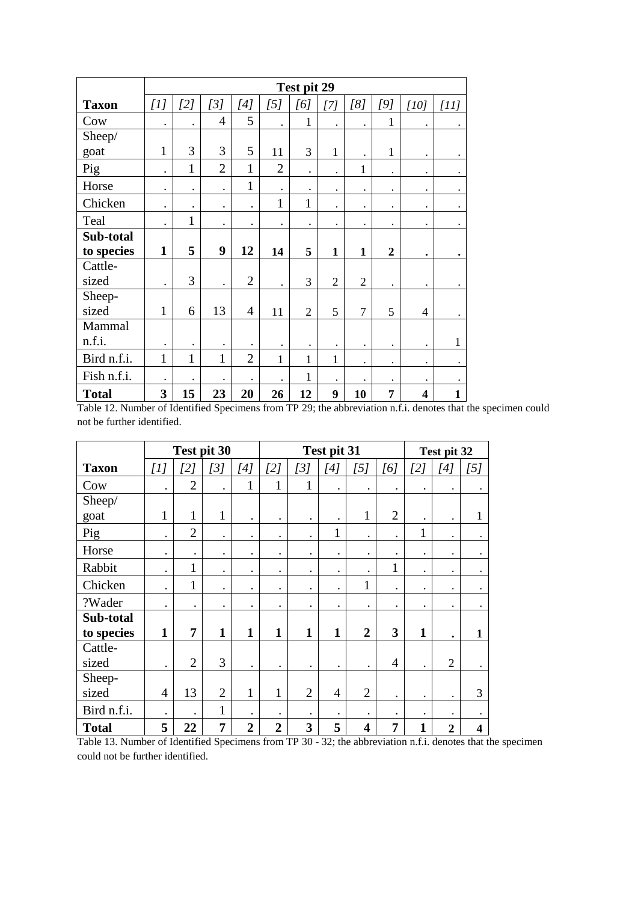|              |              |              |                      |                      |                      | Test pit 29    |                |                |                      |                         |              |
|--------------|--------------|--------------|----------------------|----------------------|----------------------|----------------|----------------|----------------|----------------------|-------------------------|--------------|
| <b>Taxon</b> | [1]          | [2]          | [3]                  | [4]                  | [5]                  | [6]            | $[7]$          | [8]            | [9]                  | [10]                    | [11]         |
| Cow          | $\bullet$    | $\bullet$    | $\overline{4}$       | 5                    | $\bullet$            | 1              | $\bullet$      | $\bullet$      | 1                    | $\bullet$               | $\bullet$    |
| Sheep/       |              |              |                      |                      |                      |                |                |                |                      |                         |              |
| goat         | $\mathbf{1}$ | 3            | 3                    | 5                    | 11                   | 3              | $\mathbf{1}$   | $\bullet$      | $\mathbf{1}$         | $\bullet$               |              |
| Pig          | $\bullet$    | $\mathbf{1}$ | $\overline{2}$       | $\mathbf{1}$         | $\overline{2}$       | $\bullet$      |                | 1              | $\ddot{\phantom{0}}$ | $\bullet$               |              |
| Horse        | $\bullet$    | $\bullet$    | $\ddot{\phantom{0}}$ | $\mathbf{1}$         | $\ddot{\phantom{0}}$ | $\bullet$      | $\bullet$      | $\bullet$      | $\bullet$            | $\bullet$               | $\bullet$    |
| Chicken      | $\bullet$    | $\bullet$    | $\bullet$            | $\ddot{\phantom{0}}$ | $\mathbf{1}$         | $\mathbf{1}$   | $\bullet$      | ٠              | $\bullet$            | $\bullet$               |              |
| Teal         | $\bullet$    | $\mathbf{1}$ | $\bullet$            | $\bullet$            | $\bullet$            | $\bullet$      | $\bullet$      | $\bullet$      | $\bullet$            | $\bullet$               |              |
| Sub-total    |              |              |                      |                      |                      |                |                |                |                      |                         |              |
| to species   | $\mathbf{1}$ | 5            | 9                    | 12                   | 14                   | 5              | $\mathbf{1}$   | $\mathbf{1}$   | $\overline{2}$       | $\bullet$               | $\bullet$    |
| Cattle-      |              |              |                      |                      |                      |                |                |                |                      |                         |              |
| sized        |              | 3            | ٠                    | $\overline{2}$       | $\bullet$            | 3              | $\overline{2}$ | $\overline{2}$ | $\bullet$            | $\bullet$               |              |
| Sheep-       |              |              |                      |                      |                      |                |                |                |                      |                         |              |
| sized        | $\mathbf{1}$ | 6            | 13                   | $\overline{4}$       | 11                   | $\overline{2}$ | 5              | $\overline{7}$ | 5                    | $\overline{4}$          |              |
| Mammal       |              |              |                      |                      |                      |                |                |                |                      |                         |              |
| n.f.i.       | $\bullet$    | $\bullet$    | $\bullet$            |                      | $\ddot{\phantom{0}}$ | $\bullet$      |                | $\bullet$      | $\bullet$            | $\bullet$               | $\mathbf{1}$ |
| Bird n.f.i.  | 1            | $\mathbf{1}$ | $\mathbf{1}$         | $\overline{2}$       | 1                    | $\mathbf{1}$   | $\mathbf{1}$   | $\bullet$      | $\bullet$            | $\bullet$               |              |
| Fish n.f.i.  |              | $\bullet$    | $\bullet$            | $\bullet$            | $\ddot{\phantom{0}}$ | $\mathbf{1}$   |                |                | $\bullet$            |                         |              |
| <b>Total</b> | 3            | 15           | 23                   | 20                   | 26                   | 12             | 9              | 10             | 7                    | $\overline{\mathbf{4}}$ | $\mathbf{1}$ |

Table 12. Number of Identified Specimens from TP 29; the abbreviation n.f.i. denotes that the specimen could not be further identified.

|              | Test pit 30    |                |                |                | Test pit 31    |                |                |                         |                | Test pit 32  |                |                         |
|--------------|----------------|----------------|----------------|----------------|----------------|----------------|----------------|-------------------------|----------------|--------------|----------------|-------------------------|
| <b>Taxon</b> | [1]            | [2]            | [3]            | $[4]$          | [2]            | [3]            | [4]            | [5]                     | [6]            | [2]          | [4]            | [5]                     |
| Cow          | $\bullet$      | $\overline{2}$ | $\bullet$      | 1              | $\mathbf{1}$   | 1              | $\bullet$      | $\bullet$               | $\bullet$      | $\bullet$    | $\bullet$      |                         |
| Sheep/       |                |                |                |                |                |                |                |                         |                |              |                |                         |
| goat         | $\mathbf{1}$   | 1              | $\mathbf{1}$   |                | $\bullet$      | $\bullet$      |                | 1                       | $\overline{2}$ |              |                | $\mathbf{1}$            |
| Pig          | $\bullet$      | $\overline{2}$ | $\bullet$      | $\bullet$      | $\bullet$      | $\bullet$      | 1              | $\bullet$               | $\bullet$      | 1            | $\bullet$      |                         |
| Horse        | $\bullet$      | $\bullet$      | $\bullet$      | $\bullet$      | $\bullet$      | $\bullet$      | $\bullet$      | $\bullet$               | $\bullet$      | $\bullet$    | ٠              |                         |
| Rabbit       | $\bullet$      | $\mathbf{1}$   | $\bullet$      | $\bullet$      | $\bullet$      | $\bullet$      | $\bullet$      |                         | 1              | $\bullet$    | $\bullet$      |                         |
| Chicken      | $\bullet$      | $\mathbf{1}$   | $\bullet$      | $\bullet$      | $\bullet$      | $\bullet$      | $\bullet$      | 1                       | ٠              | $\bullet$    | ٠              | $\bullet$               |
| ?Wader       | $\bullet$      | $\bullet$      | $\bullet$      | $\bullet$      | $\bullet$      | $\bullet$      | $\bullet$      | $\bullet$               | $\bullet$      |              |                |                         |
| Sub-total    |                |                |                |                |                |                |                |                         |                |              |                |                         |
| to species   | $\mathbf{1}$   | 7              | $\mathbf{1}$   | 1              | $\mathbf{1}$   | 1              | 1              | $\overline{2}$          | 3              | $\mathbf{1}$ | ٠              | $\mathbf{1}$            |
| Cattle-      |                |                |                |                |                |                |                |                         |                |              |                |                         |
| sized        | $\bullet$      | $\overline{2}$ | 3              |                | $\bullet$      | $\bullet$      | $\bullet$      | $\bullet$               | $\overline{4}$ |              | $\overline{2}$ |                         |
| Sheep-       |                |                |                |                |                |                |                |                         |                |              |                |                         |
| sized        | $\overline{4}$ | 13             | $\overline{2}$ | $\mathbf{1}$   | 1              | $\overline{2}$ | $\overline{4}$ | $\overline{2}$          | $\bullet$      | $\bullet$    | $\bullet$      | 3                       |
| Bird n.f.i.  | $\bullet$      | $\bullet$      | $\mathbf{1}$   | $\bullet$      | $\bullet$      | $\bullet$      | $\bullet$      | $\bullet$               | ٠              | $\bullet$    |                |                         |
| <b>Total</b> | 5              | 22             | 7              | $\overline{2}$ | $\overline{2}$ | 3              | 5              | $\overline{\mathbf{4}}$ | 7              | 1            | $\overline{2}$ | $\overline{\mathbf{4}}$ |

Table 13. Number of Identified Specimens from TP 30 - 32; the abbreviation n.f.i. denotes that the specimen could not be further identified.